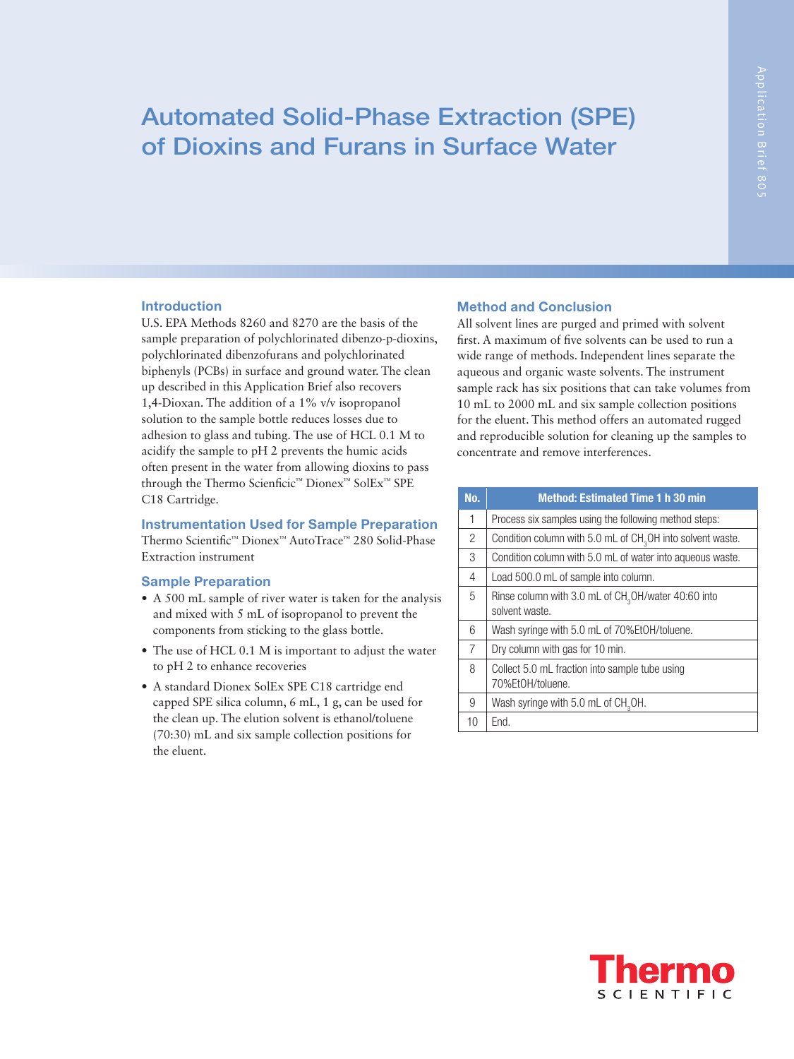# Automated Solid-Phase Extraction (SPE) of Dioxins and Furans in Surface Water

### Introduction

U.S. EPA Methods 8260 and 8270 are the basis of the sample preparation of polychlorinated dibenzo-p-dioxins, polychlorinated dibenzofurans and polychlorinated biphenyls (PCBs) in surface and ground water. The clean up described in this Application Brief also recovers 1,4-Dioxan. The addition of a 1% v/v isopropanol solution to the sample bottle reduces losses due to adhesion to glass and tubing. The use of HCL 0.1 M to acidify the sample to pH 2 prevents the humic acids often present in the water from allowing dioxins to pass through the Thermo Scienficic™ Dionex™ SolEx™ SPE C18 Cartridge.

#### Instrumentation Used for Sample Preparation

Thermo Scientific™ Dionex™ AutoTrace™ 280 Solid-Phase Extraction instrument

#### Sample Preparation

- A 500 mL sample of river water is taken for the analysis and mixed with 5 mL of isopropanol to prevent the components from sticking to the glass bottle.
- The use of HCL 0.1 M is important to adjust the water to pH 2 to enhance recoveries
- A standard Dionex SolEx SPE C18 cartridge end capped SPE silica column, 6 mL, 1 g, can be used for the clean up. The elution solvent is ethanol/toluene (70:30) mL and six sample collection positions for the eluent.

## Method and Conclusion

All solvent lines are purged and primed with solvent first. A maximum of five solvents can be used to run a wide range of methods. Independent lines separate the aqueous and organic waste solvents. The instrument sample rack has six positions that can take volumes from 10 mL to 2000 mL and six sample collection positions for the eluent. This method offers an automated rugged and reproducible solution for cleaning up the samples to concentrate and remove interferences.

| No.            | <b>Method: Estimated Time 1 h 30 min</b>                               |
|----------------|------------------------------------------------------------------------|
| 1              | Process six samples using the following method steps:                  |
| $\overline{2}$ | Condition column with 5.0 mL of $CH3OH$ into solvent waste.            |
| 3              | Condition column with 5.0 mL of water into aqueous waste.              |
| 4              | Load 500.0 mL of sample into column.                                   |
| 5              | Rinse column with 3.0 mL of $CH3OH/water 40:60$ into<br>solvent waste. |
| 6              | Wash syringe with 5.0 mL of 70%EtOH/toluene.                           |
| $\overline{7}$ | Dry column with gas for 10 min.                                        |
| 8              | Collect 5.0 mL fraction into sample tube using<br>70%FtOH/toluene.     |
| 9              | Wash syringe with 5.0 mL of CH <sub>3</sub> OH.                        |
| 10             | End.                                                                   |